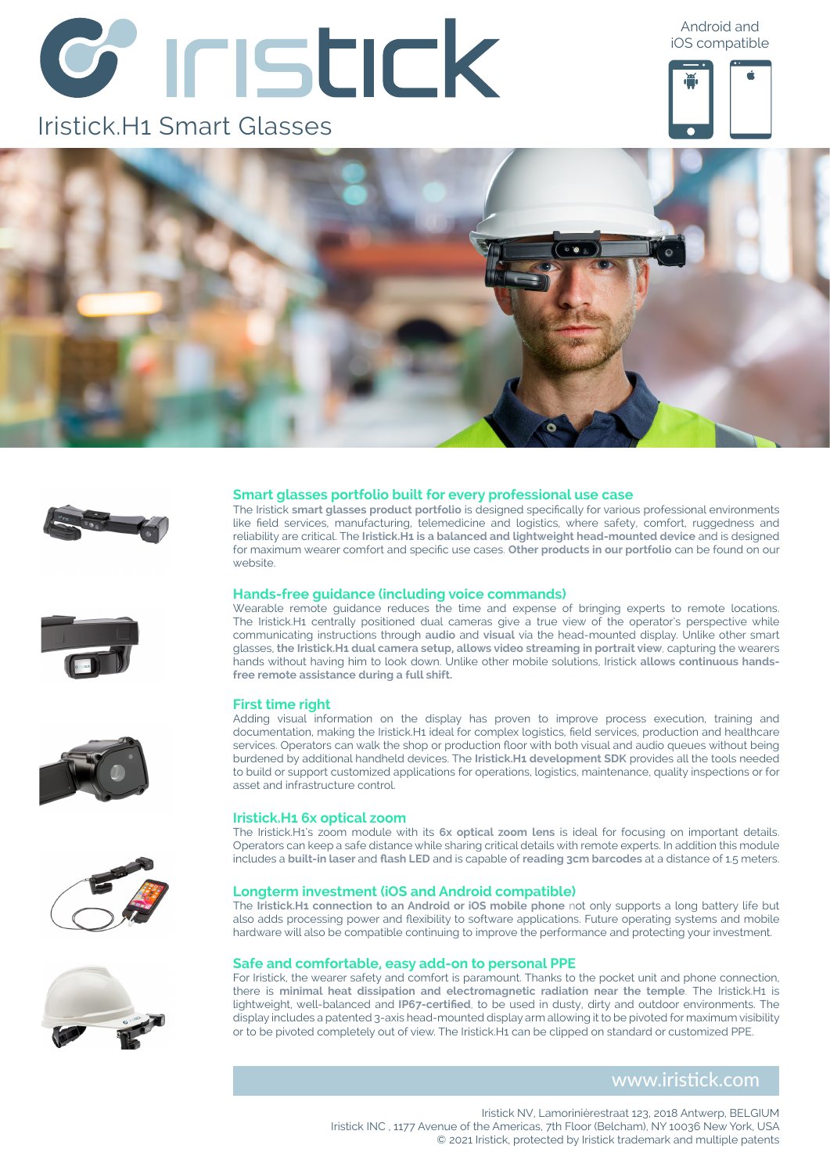# *C* INSTICK

## Iristick.H1 Smart Glasses

Android and iOS compatible















#### **Smart glasses portfolio built for every professional use case**

The Iristick **smart glasses product portfolio** is designed specifically for various professional environments like field services, manufacturing, telemedicine and logistics, where safety, comfort, ruggedness and reliability are critical. The **Iristick.H1 is a balanced and lightweight head-mounted device** and is designed for maximum wearer comfort and specific use cases. **Other products in our portfolio** can be found on our website

#### **Hands-free guidance (including voice commands)**

Wearable remote guidance reduces the time and expense of bringing experts to remote locations. The Iristick.H1 centrally positioned dual cameras give a true view of the operator's perspective while communicating instructions through **audio** and **visual** via the head-mounted display. Unlike other smart glasses, **the Iristick.H1 dual camera setup, allows video streaming in portrait view**, capturing the wearers hands without having him to look down. Unlike other mobile solutions, Iristick **allows continuous handsfree remote assistance during a full shift.** 

#### **First time right**

Adding visual information on the display has proven to improve process execution, training and documentation, making the Iristick.H1 ideal for complex logistics, field services, production and healthcare services. Operators can walk the shop or production floor with both visual and audio queues without being burdened by additional handheld devices. The **Iristick.H1 development SDK** provides all the tools needed to build or support customized applications for operations, logistics, maintenance, quality inspections or for asset and infrastructure control.

#### **Iristick.H1 6x optical zoom**

The Iristick.H1's zoom module with its **6x optical zoom lens** is ideal for focusing on important details. Operators can keep a safe distance while sharing critical details with remote experts. In addition this module includes a **built-in laser** and **flash LED** and is capable of **reading 3cm barcodes** at a distance of 1.5 meters.

#### **Longterm investment (iOS and Android compatible)**

The **Iristick.H1 connection to an Android or iOS mobile phone** not only supports a long battery life but also adds processing power and flexibility to software applications. Future operating systems and mobile hardware will also be compatible continuing to improve the performance and protecting your investment.

#### **Safe and comfortable, easy add-on to personal PPE**

For Iristick, the wearer safety and comfort is paramount. Thanks to the pocket unit and phone connection, there is **minimal heat dissipation and electromagnetic radiation near the temple**. The Iristick.H1 is lightweight, well-balanced and **IP67-certified**, to be used in dusty, dirty and outdoor environments. The display includes a patented 3-axis head-mounted display arm allowing it to be pivoted for maximum visibility or to be pivoted completely out of view. The Iristick.H1 can be clipped on standard or customized PPE.

#### www.iristick.com

Iristick NV, Lamorinièrestraat 123, 2018 Antwerp, BELGIUM Iristick INC , 1177 Avenue of the Americas, 7th Floor (Belcham), NY 10036 New York, USA © 2021 Iristick, protected by Iristick trademark and multiple patents